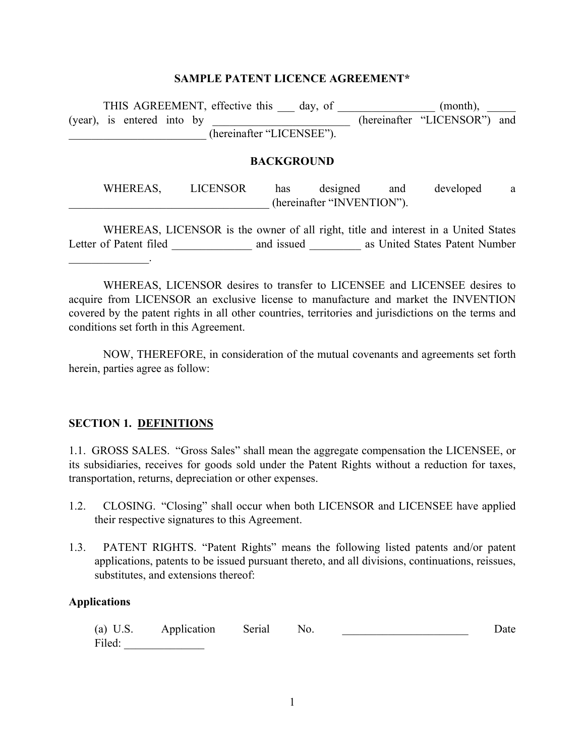#### **SAMPLE PATENT LICENCE AGREEMENT\***

| (year), is entered into by | THIS AGREEMENT, effective this day, of<br>(hereinafter "LICENSEE"). |     |                                        |     | (month),<br>(hereinafter "LICENSOR") and |   |
|----------------------------|---------------------------------------------------------------------|-----|----------------------------------------|-----|------------------------------------------|---|
|                            |                                                                     |     | <b>BACKGROUND</b>                      |     |                                          |   |
| WHEREAS,                   | <b>LICENSOR</b>                                                     | has | designed<br>(hereinafter "INVENTION"). | and | developed                                | a |

 WHEREAS, LICENSOR is the owner of all right, title and interest in a United States Letter of Patent filed \_\_\_\_\_\_\_\_\_\_\_\_\_\_\_ and issued \_\_\_\_\_\_\_\_\_\_ as United States Patent Number  $\mathcal{L}_\text{max}$  and  $\mathcal{L}_\text{max}$  and  $\mathcal{L}_\text{max}$ 

 WHEREAS, LICENSOR desires to transfer to LICENSEE and LICENSEE desires to acquire from LICENSOR an exclusive license to manufacture and market the INVENTION covered by the patent rights in all other countries, territories and jurisdictions on the terms and conditions set forth in this Agreement.

 NOW, THEREFORE, in consideration of the mutual covenants and agreements set forth herein, parties agree as follow:

#### **SECTION 1. DEFINITIONS**

1.1. GROSS SALES. "Gross Sales" shall mean the aggregate compensation the LICENSEE, or its subsidiaries, receives for goods sold under the Patent Rights without a reduction for taxes, transportation, returns, depreciation or other expenses.

- 1.2. CLOSING. "Closing" shall occur when both LICENSOR and LICENSEE have applied their respective signatures to this Agreement.
- 1.3. PATENT RIGHTS. "Patent Rights" means the following listed patents and/or patent applications, patents to be issued pursuant thereto, and all divisions, continuations, reissues, substitutes, and extensions thereof:

#### **Applications**

|        | (a) U.S. Application Serial No. |  | Date |
|--------|---------------------------------|--|------|
| Filed: |                                 |  |      |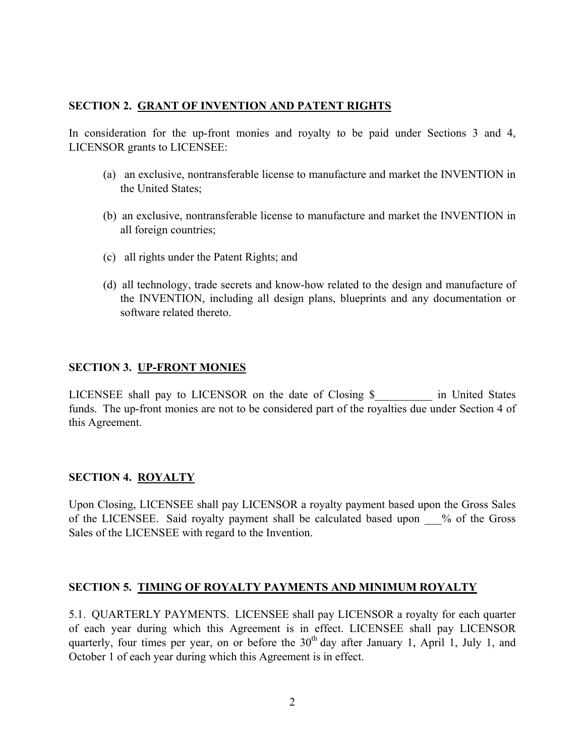## **SECTION 2. GRANT OF INVENTION AND PATENT RIGHTS**

In consideration for the up-front monies and royalty to be paid under Sections 3 and 4, LICENSOR grants to LICENSEE:

- (a) an exclusive, nontransferable license to manufacture and market the INVENTION in the United States;
- (b) an exclusive, nontransferable license to manufacture and market the INVENTION in all foreign countries;
- (c) all rights under the Patent Rights; and
- (d) all technology, trade secrets and know-how related to the design and manufacture of the INVENTION, including all design plans, blueprints and any documentation or software related thereto.

### **SECTION 3. UP-FRONT MONIES**

LICENSEE shall pay to LICENSOR on the date of Closing \$ The United States funds. The up-front monies are not to be considered part of the royalties due under Section 4 of this Agreement.

## **SECTION 4. ROYALTY**

Upon Closing, LICENSEE shall pay LICENSOR a royalty payment based upon the Gross Sales of the LICENSEE. Said royalty payment shall be calculated based upon % of the Gross Sales of the LICENSEE with regard to the Invention.

### **SECTION 5. TIMING OF ROYALTY PAYMENTS AND MINIMUM ROYALTY**

5.1. QUARTERLY PAYMENTS. LICENSEE shall pay LICENSOR a royalty for each quarter of each year during which this Agreement is in effect. LICENSEE shall pay LICENSOR quarterly, four times per year, on or before the  $30<sup>th</sup>$  day after January 1, April 1, July 1, and October 1 of each year during which this Agreement is in effect.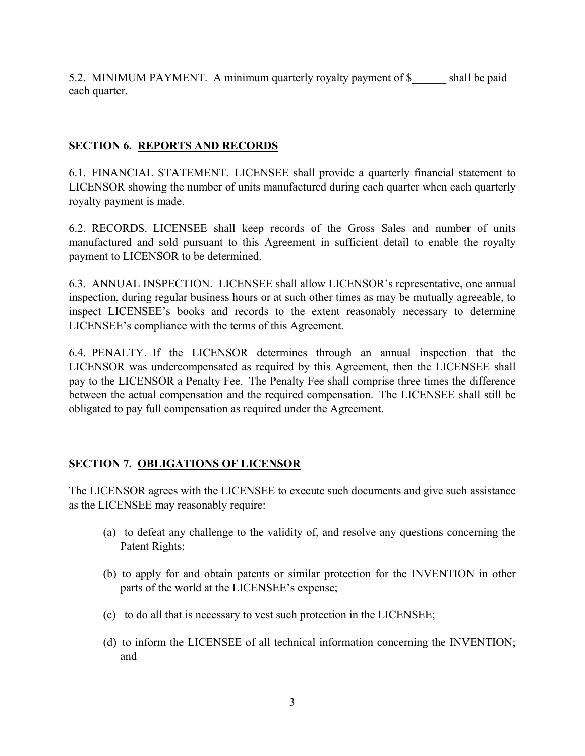5.2. MINIMUM PAYMENT. A minimum quarterly royalty payment of \$ shall be paid each quarter.

## **SECTION 6. REPORTS AND RECORDS**

6.1. FINANCIAL STATEMENT. LICENSEE shall provide a quarterly financial statement to LICENSOR showing the number of units manufactured during each quarter when each quarterly royalty payment is made.

6.2. RECORDS. LICENSEE shall keep records of the Gross Sales and number of units manufactured and sold pursuant to this Agreement in sufficient detail to enable the royalty payment to LICENSOR to be determined.

6.3. ANNUAL INSPECTION. LICENSEE shall allow LICENSOR's representative, one annual inspection, during regular business hours or at such other times as may be mutually agreeable, to inspect LICENSEE's books and records to the extent reasonably necessary to determine LICENSEE's compliance with the terms of this Agreement.

6.4. PENALTY. If the LICENSOR determines through an annual inspection that the LICENSOR was undercompensated as required by this Agreement, then the LICENSEE shall pay to the LICENSOR a Penalty Fee. The Penalty Fee shall comprise three times the difference between the actual compensation and the required compensation. The LICENSEE shall still be obligated to pay full compensation as required under the Agreement.

### **SECTION 7. OBLIGATIONS OF LICENSOR**

The LICENSOR agrees with the LICENSEE to execute such documents and give such assistance as the LICENSEE may reasonably require:

- (a) to defeat any challenge to the validity of, and resolve any questions concerning the Patent Rights;
- (b) to apply for and obtain patents or similar protection for the INVENTION in other parts of the world at the LICENSEE's expense;
- (c) to do all that is necessary to vest such protection in the LICENSEE;
- (d) to inform the LICENSEE of all technical information concerning the INVENTION; and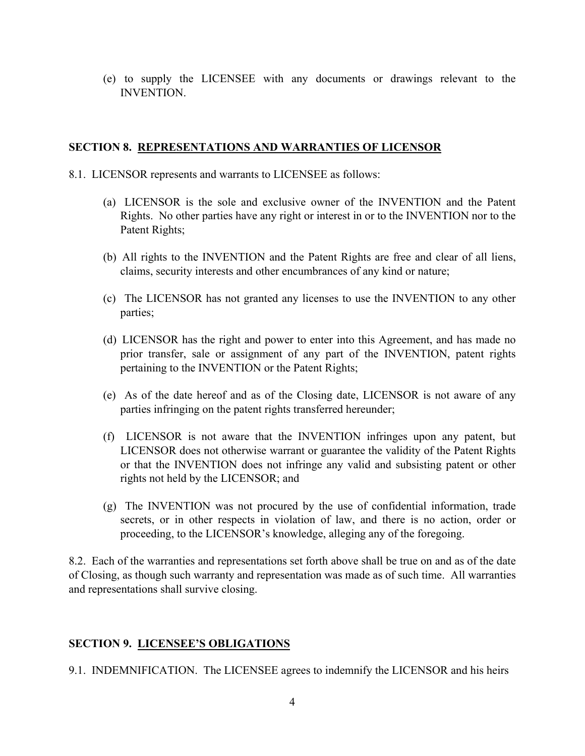(e) to supply the LICENSEE with any documents or drawings relevant to the **INVENTION** 

## **SECTION 8. REPRESENTATIONS AND WARRANTIES OF LICENSOR**

- 8.1. LICENSOR represents and warrants to LICENSEE as follows:
	- (a) LICENSOR is the sole and exclusive owner of the INVENTION and the Patent Rights. No other parties have any right or interest in or to the INVENTION nor to the Patent Rights;
	- (b) All rights to the INVENTION and the Patent Rights are free and clear of all liens, claims, security interests and other encumbrances of any kind or nature;
	- (c) The LICENSOR has not granted any licenses to use the INVENTION to any other parties;
	- (d) LICENSOR has the right and power to enter into this Agreement, and has made no prior transfer, sale or assignment of any part of the INVENTION, patent rights pertaining to the INVENTION or the Patent Rights;
	- (e) As of the date hereof and as of the Closing date, LICENSOR is not aware of any parties infringing on the patent rights transferred hereunder;
	- (f) LICENSOR is not aware that the INVENTION infringes upon any patent, but LICENSOR does not otherwise warrant or guarantee the validity of the Patent Rights or that the INVENTION does not infringe any valid and subsisting patent or other rights not held by the LICENSOR; and
	- (g) The INVENTION was not procured by the use of confidential information, trade secrets, or in other respects in violation of law, and there is no action, order or proceeding, to the LICENSOR's knowledge, alleging any of the foregoing.

8.2. Each of the warranties and representations set forth above shall be true on and as of the date of Closing, as though such warranty and representation was made as of such time. All warranties and representations shall survive closing.

### **SECTION 9. LICENSEE'S OBLIGATIONS**

9.1. INDEMNIFICATION. The LICENSEE agrees to indemnify the LICENSOR and his heirs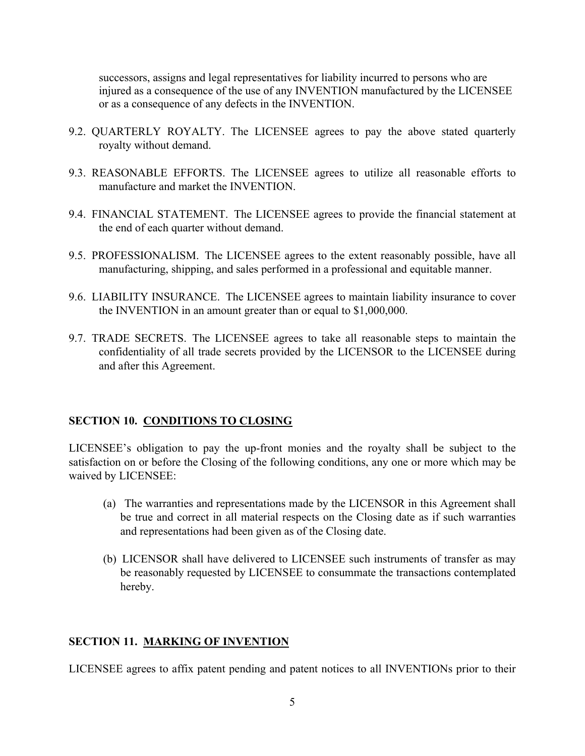successors, assigns and legal representatives for liability incurred to persons who are injured as a consequence of the use of any INVENTION manufactured by the LICENSEE or as a consequence of any defects in the INVENTION.

- 9.2. QUARTERLY ROYALTY. The LICENSEE agrees to pay the above stated quarterly royalty without demand.
- 9.3. REASONABLE EFFORTS. The LICENSEE agrees to utilize all reasonable efforts to manufacture and market the INVENTION.
- 9.4. FINANCIAL STATEMENT. The LICENSEE agrees to provide the financial statement at the end of each quarter without demand.
- 9.5. PROFESSIONALISM. The LICENSEE agrees to the extent reasonably possible, have all manufacturing, shipping, and sales performed in a professional and equitable manner.
- 9.6. LIABILITY INSURANCE. The LICENSEE agrees to maintain liability insurance to cover the INVENTION in an amount greater than or equal to \$1,000,000.
- 9.7. TRADE SECRETS. The LICENSEE agrees to take all reasonable steps to maintain the confidentiality of all trade secrets provided by the LICENSOR to the LICENSEE during and after this Agreement.

#### **SECTION 10. CONDITIONS TO CLOSING**

LICENSEE's obligation to pay the up-front monies and the royalty shall be subject to the satisfaction on or before the Closing of the following conditions, any one or more which may be waived by LICENSEE:

- (a) The warranties and representations made by the LICENSOR in this Agreement shall be true and correct in all material respects on the Closing date as if such warranties and representations had been given as of the Closing date.
- (b) LICENSOR shall have delivered to LICENSEE such instruments of transfer as may be reasonably requested by LICENSEE to consummate the transactions contemplated hereby.

### **SECTION 11. MARKING OF INVENTION**

LICENSEE agrees to affix patent pending and patent notices to all INVENTIONs prior to their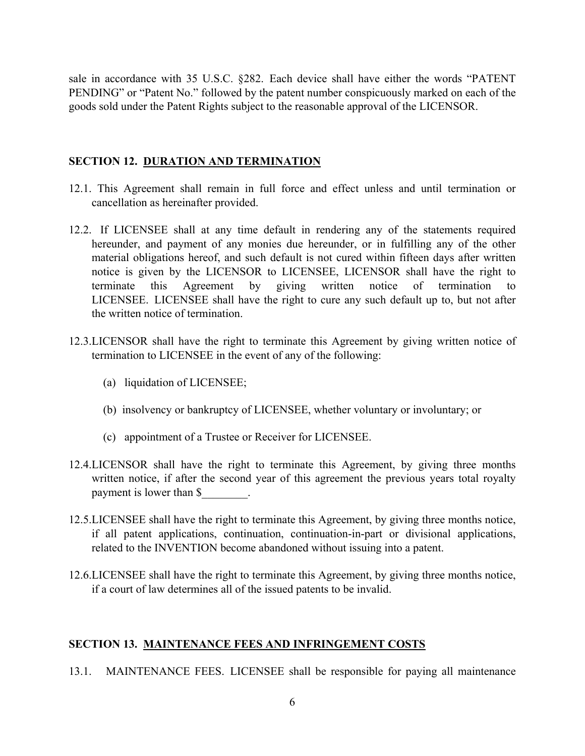sale in accordance with 35 U.S.C. §282. Each device shall have either the words "PATENT PENDING" or "Patent No." followed by the patent number conspicuously marked on each of the goods sold under the Patent Rights subject to the reasonable approval of the LICENSOR.

#### **SECTION 12. DURATION AND TERMINATION**

- 12.1. This Agreement shall remain in full force and effect unless and until termination or cancellation as hereinafter provided.
- 12.2. If LICENSEE shall at any time default in rendering any of the statements required hereunder, and payment of any monies due hereunder, or in fulfilling any of the other material obligations hereof, and such default is not cured within fifteen days after written notice is given by the LICENSOR to LICENSEE, LICENSOR shall have the right to terminate this Agreement by giving written notice of termination to LICENSEE. LICENSEE shall have the right to cure any such default up to, but not after the written notice of termination.
- 12.3.LICENSOR shall have the right to terminate this Agreement by giving written notice of termination to LICENSEE in the event of any of the following:
	- (a) liquidation of LICENSEE;
	- (b) insolvency or bankruptcy of LICENSEE, whether voluntary or involuntary; or
	- (c) appointment of a Trustee or Receiver for LICENSEE.
- 12.4.LICENSOR shall have the right to terminate this Agreement, by giving three months written notice, if after the second year of this agreement the previous years total royalty payment is lower than \$\_\_\_\_\_\_\_\_.
- 12.5.LICENSEE shall have the right to terminate this Agreement, by giving three months notice, if all patent applications, continuation, continuation-in-part or divisional applications, related to the INVENTION become abandoned without issuing into a patent.
- 12.6.LICENSEE shall have the right to terminate this Agreement, by giving three months notice, if a court of law determines all of the issued patents to be invalid.

#### **SECTION 13. MAINTENANCE FEES AND INFRINGEMENT COSTS**

13.1. MAINTENANCE FEES. LICENSEE shall be responsible for paying all maintenance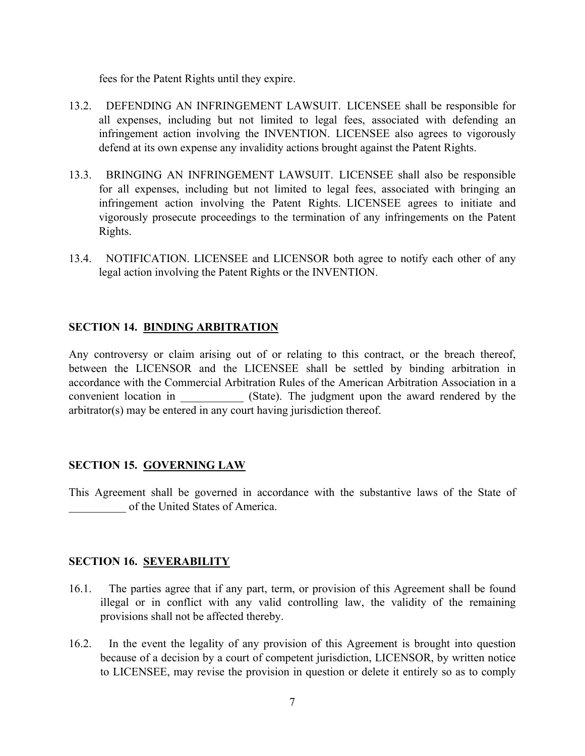fees for the Patent Rights until they expire.

- 13.2. DEFENDING AN INFRINGEMENT LAWSUIT. LICENSEE shall be responsible for all expenses, including but not limited to legal fees, associated with defending an infringement action involving the INVENTION. LICENSEE also agrees to vigorously defend at its own expense any invalidity actions brought against the Patent Rights.
- 13.3. BRINGING AN INFRINGEMENT LAWSUIT. LICENSEE shall also be responsible for all expenses, including but not limited to legal fees, associated with bringing an infringement action involving the Patent Rights. LICENSEE agrees to initiate and vigorously prosecute proceedings to the termination of any infringements on the Patent Rights.
- 13.4. NOTIFICATION. LICENSEE and LICENSOR both agree to notify each other of any legal action involving the Patent Rights or the INVENTION.

### **SECTION 14. BINDING ARBITRATION**

Any controversy or claim arising out of or relating to this contract, or the breach thereof, between the LICENSOR and the LICENSEE shall be settled by binding arbitration in accordance with the Commercial Arbitration Rules of the American Arbitration Association in a convenient location in (State). The judgment upon the award rendered by the arbitrator(s) may be entered in any court having jurisdiction thereof.

### **SECTION 15. GOVERNING LAW**

This Agreement shall be governed in accordance with the substantive laws of the State of of the United States of America.

### **SECTION 16. SEVERABILITY**

- 16.1. The parties agree that if any part, term, or provision of this Agreement shall be found illegal or in conflict with any valid controlling law, the validity of the remaining provisions shall not be affected thereby.
- 16.2. In the event the legality of any provision of this Agreement is brought into question because of a decision by a court of competent jurisdiction, LICENSOR, by written notice to LICENSEE, may revise the provision in question or delete it entirely so as to comply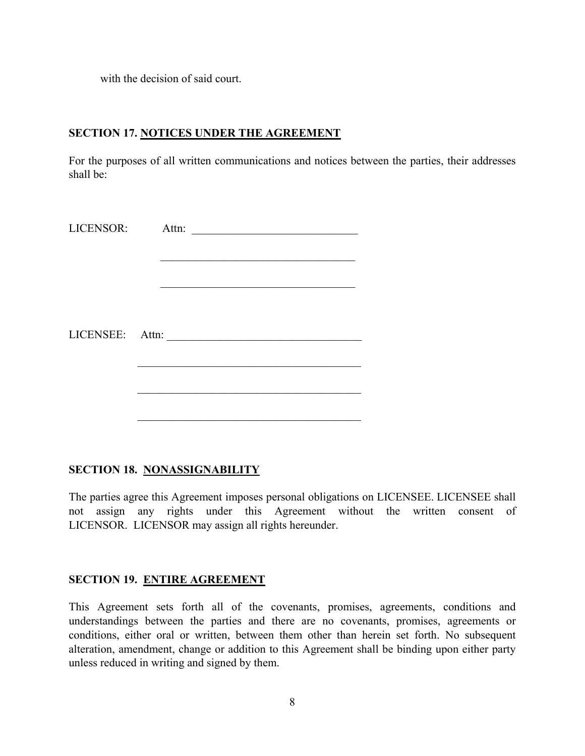with the decision of said court.

### **SECTION 17. NOTICES UNDER THE AGREEMENT**

For the purposes of all written communications and notices between the parties, their addresses shall be:

| LICENSOR: Attn: | <u> 1980 - Jan Barbara, manazarta bashka</u> |
|-----------------|----------------------------------------------|
|                 |                                              |
|                 |                                              |
|                 |                                              |
|                 | LICENSEE: Attn:                              |
|                 |                                              |
|                 |                                              |
|                 |                                              |

# **SECTION 18. NONASSIGNABILITY**

The parties agree this Agreement imposes personal obligations on LICENSEE. LICENSEE shall not assign any rights under this Agreement without the written consent of LICENSOR. LICENSOR may assign all rights hereunder.

### **SECTION 19. ENTIRE AGREEMENT**

This Agreement sets forth all of the covenants, promises, agreements, conditions and understandings between the parties and there are no covenants, promises, agreements or conditions, either oral or written, between them other than herein set forth. No subsequent alteration, amendment, change or addition to this Agreement shall be binding upon either party unless reduced in writing and signed by them.